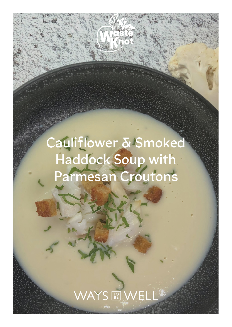## **Cauliflower & Smoked Haddock Soup with Parmesan Croutons**

WAYS REWELL<sup>®</sup>